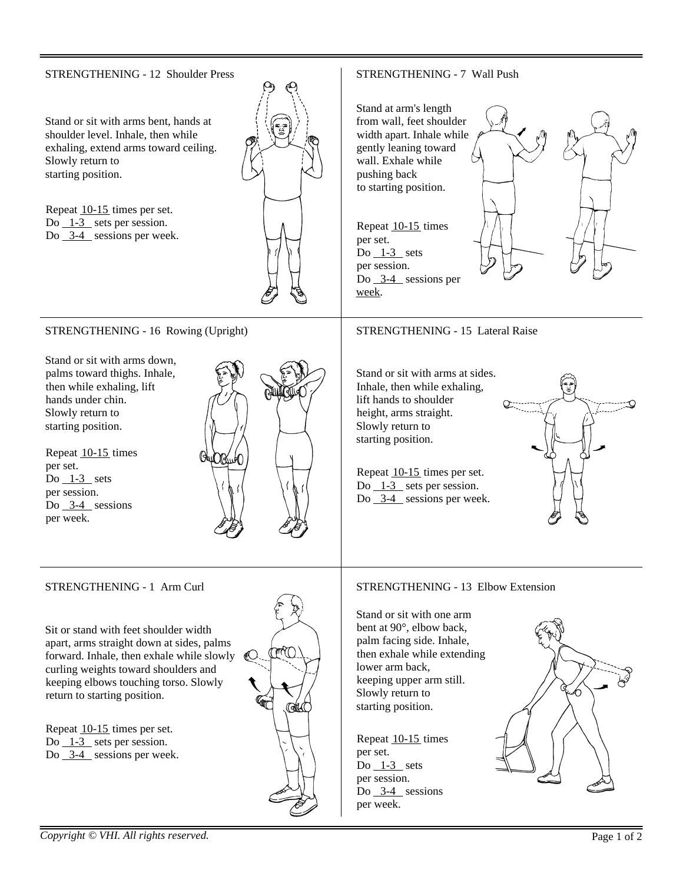#### STRENGTHENING - 12 Shoulder Press STRENGTHENING - 7 Wall Push Stand at arm's length Stand or sit with arms bent, hands at from wall, feet shoulder shoulder level. Inhale, then while width apart. Inhale while exhaling, extend arms toward ceiling. gently leaning toward wall. Exhale while Slowly return to starting position. pushing back to starting position. Repeat 10-15 times per set. Do  $\overline{\phantom{a}1}$ -3 sets per session. Repeat 10-15 times Do 3-4 sessions per week. per set. Do  $1-3$  sets per session. Do 3-4 sessions per week. STRENGTHENING - 15 Lateral Raise STRENGTHENING - 16 Rowing (Upright) Stand or sit with arms down, palms toward thighs. Inhale, Stand or sit with arms at sides. Inhale, then while exhaling, then while exhaling, lift hands under chin. lift hands to shoulder Slowly return to height, arms straight. starting position. Slowly return to starting position. Repeat 10-15 times per set. Repeat 10-15 times per set.  $Do$   $1-3$  sets Do 1-3 sets per session. per session. Do  $3-4$  sessions per week. Do  $3-4$  sessions per week. STRENGTHENING - 1 Arm Curl STRENGTHENING - 13 Elbow Extension Stand or sit with one arm bent at 90°, elbow back, Sit or stand with feet shoulder width palm facing side. Inhale, apart, arms straight down at sides, palms  $\mathbb{M}$ then exhale while extending forward. Inhale, then exhale while slowly curling weights toward shoulders and lower arm back, keeping upper arm still. keeping elbows touching torso. Slowly Slowly return to return to starting position. starting position. **Ratil C** Repeat 10-15 times per set. Repeat 10-15 times Do  $\angle$  1-3 sets per session. Do 3-4 sessions per week. per set. Do  $1-3$  sets per session. Do 3-4 sessions per week.